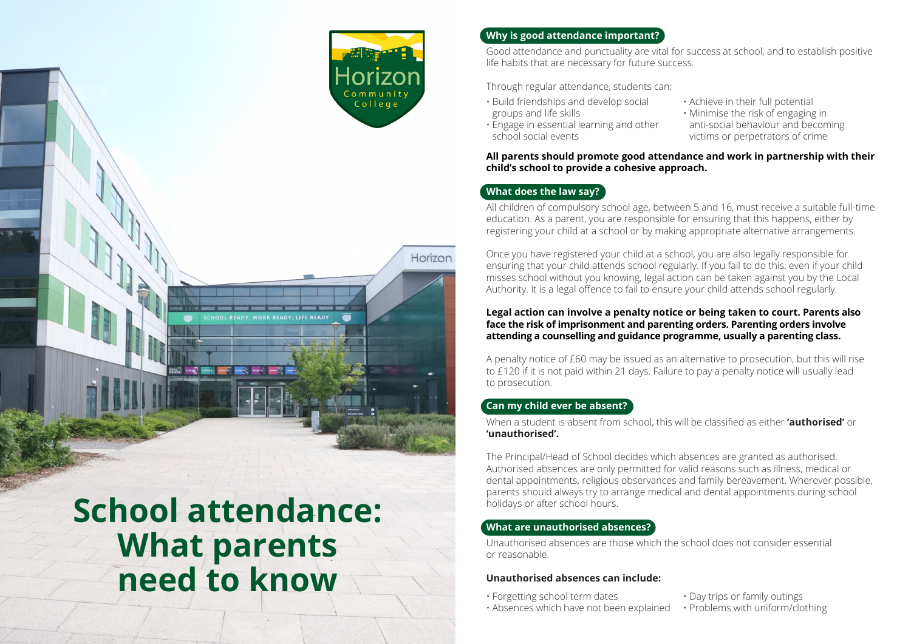

Horizon

## **Why is good attendance important?**

Good attendance and punctuality are vital for success at school, and to establish positive life habits that are necessary for future success.

Through regular attendance, students can:

- Build friendships and develop social groups and life skills • Engage in essential learning and other
- Achieve in their full potential
- Minimise the risk of engaging in anti-social behaviour and becoming victims or perpetrators of crime

**All parents should promote good attendance and work in partnership with their child's school to provide a cohesive approach.**

# **What does the law say?**

school social events

All children of compulsory school age, between 5 and 16, must receive a suitable full-time education. As a parent, you are responsible for ensuring that this happens, either by registering your child at a school or by making appropriate alternative arrangements.

Once you have registered your child at a school, you are also legally responsible for ensuring that your child attends school regularly. If you fail to do this, even if your child misses school without you knowing, legal action can be taken against you by the Local Authority. It is a legal offence to fail to ensure your child attends school regularly.

#### **Legal action can involve a penalty notice or being taken to court. Parents also face the risk of imprisonment and parenting orders. Parenting orders involve attending a counselling and guidance programme, usually a parenting class.**

A penalty notice of £60 may be issued as an alternative to prosecution, but this will rise to £120 if it is not paid within 21 days. Failure to pay a penalty notice will usually lead to prosecution.

# **Can my child ever be absent?**

When a student is absent from school, this will be classified as either **'authorised'** or **'unauthorised'.** 

The Principal/Head of School decides which absences are granted as authorised. Authorised absences are only permitted for valid reasons such as illness, medical or dental appointments, religious observances and family bereavement. Wherever possible, parents should always try to arrange medical and dental appointments during school holidays or after school hours.

## **What are unauthorised absences?**

Unauthorised absences are those which the school does not consider essential or reasonable.

#### **Unauthorised absences can include:**

- Forgetting school term dates
- Day trips or family outings
- Absences which have not been explained • Problems with uniform/clothing

**School attendance: What parents need to know**